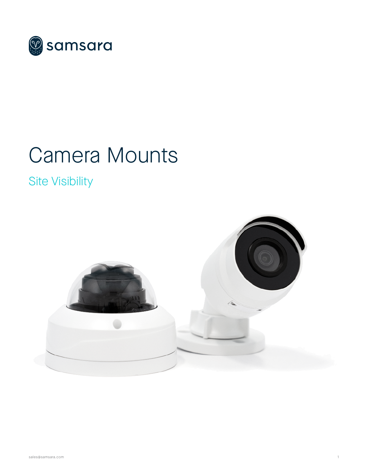

# Camera Mounts

# Site Visibility

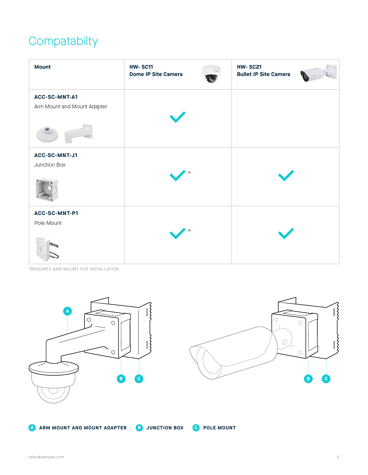## **Compatabilty**

| <b>Mount</b>                                 | <b>HW-SC11</b><br><b>Dome IP Site Camera</b> | <b>HW-SC21</b><br><b>Bullet IP Site Camera</b> |
|----------------------------------------------|----------------------------------------------|------------------------------------------------|
| ACC-SC-MNT-A1<br>Arm Mount and Mount Adapter |                                              |                                                |
| ACC-SC-MNT-J1<br>Junction Box                |                                              |                                                |
| ACC-SC-MNT-P1<br>Pole Mount                  |                                              |                                                |

\*REQUIRES ARM MOUNT FOR INSTALLATION

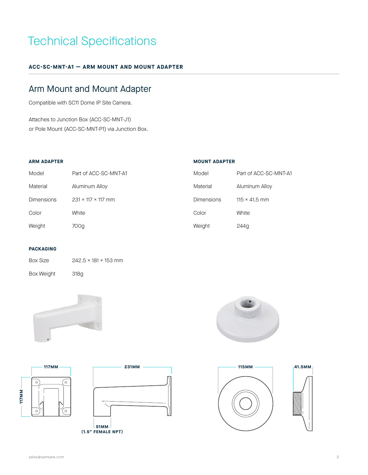### Technical Specifications

#### **ACC-SC-MNT-A1 — ARM MOUNT AND MOUNT ADAPTER**

### Arm Mount and Mount Adapter

Compatible with SC11 Dome IP Site Camera.

Attaches to Junction Box (ACC-SC-MNT-J1) or Pole Mount (ACC-SC-MNT-P1) via Junction Box.

#### **ARM ADAPTER**

| Model      | Part of ACC-SC-MNT-A1          |
|------------|--------------------------------|
| Material   | Aluminum Alloy                 |
| Dimensions | $231 \times 117 \times 117$ mm |
| Color      | White                          |
| Weight     | 700a                           |

#### **MOUNT ADAPTER**

| Model             | Part of ACC-SC-MNT-A1 |
|-------------------|-----------------------|
| Material          | Aluminum Alloy        |
| <b>Dimensions</b> | $115 \times 41.5$ mm  |
| Color             | White                 |
| Weight            | 244g                  |

#### **PACKAGING**

| <b>Box Size</b>   | $242.5 \times 181 \times 153$ mm |
|-------------------|----------------------------------|
| <b>Box Weight</b> | 318a                             |



Ō

 $\circ$ 











**117MM**

 $\overline{\circ}$ 

 $\circ$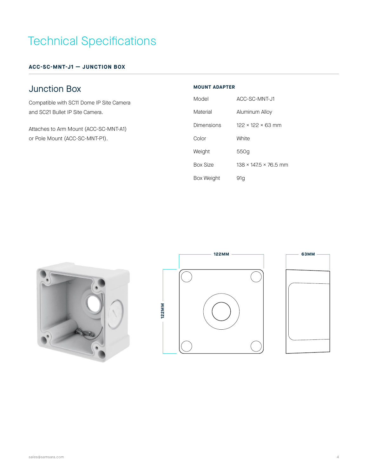# Technical Specifications

**ACC-SC-MNT-J1 — JUNCTION BOX**

### Junction Box

Compatible with SC11 Dome IP Site Camera and SC21 Bullet IP Site Camera.

Attaches to Arm Mount (ACC-SC-MNT-A1) or Pole Mount (ACC-SC-MNT-P1).

#### **MOUNT ADAPTER**

| Model           | ACC-SC-MNT-J1                    |
|-----------------|----------------------------------|
| Material        | Aluminum Alloy                   |
| Dimensions      | $122 \times 122 \times 63$ mm    |
| Color           | <b>White</b>                     |
| Weight          | 550a                             |
| <b>Box Size</b> | $138 \times 1475 \times 76.5$ mm |
| Box Weight      | 91a                              |